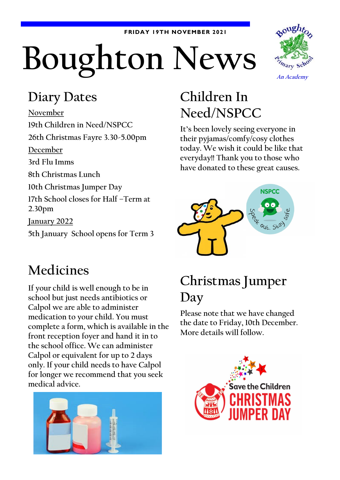#### **FRIDAY 19TH NOVEMBER 2021**

# **Boughton News**



#### **Diary Dates**

**November 19th Children in Need/NSPCC 26th Christmas Fayre 3.30-5.00pm December 3rd Flu Imms 8th Christmas Lunch 10th Christmas Jumper Day 17th School closes for Half –Term at 2.30pm January 2022 5th January School opens for Term 3**

# **Children In Need/NSPCC**

**It's been lovely seeing everyone in their pyjamas/comfy/cosy clothes today. We wish it could be like that everyday!! Thank you to those who have donated to these great causes.**



## **Medicines**

**If your child is well enough to be in school but just needs antibiotics or Calpol we are able to administer medication to your child. You must complete a form, which is available in the front reception foyer and hand it in to the school office. We can administer Calpol or equivalent for up to 2 days only. If your child needs to have Calpol for longer we recommend that you seek medical advice.**



## **Christmas Jumper Day**

**Please note that we have changed the date to Friday, 10th December. More details will follow.**